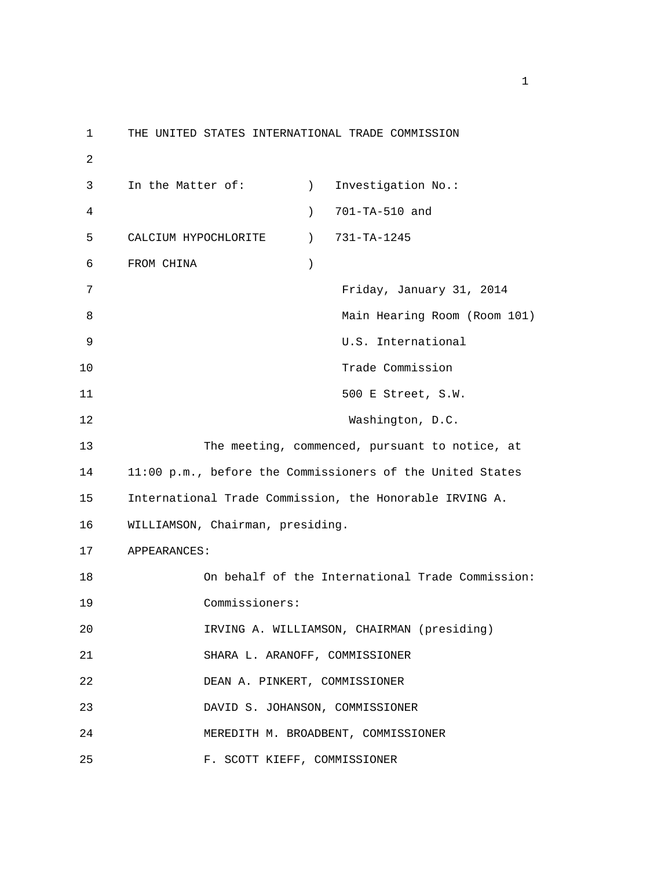1 THE UNITED STATES INTERNATIONAL TRADE COMMISSION 2 3 In the Matter of: (a) Investigation No.: 4 ) 701-TA-510 and 5 CALCIUM HYPOCHLORITE ) 731-TA-1245 6 FROM CHINA ) 7 Friday, January 31, 2014 8 Main Hearing Room (Room 101) 9 U.S. International 10 Trade Commission 11 500 E Street, S.W. 12 Washington, D.C. 13 The meeting, commenced, pursuant to notice, at 14 11:00 p.m., before the Commissioners of the United States 15 International Trade Commission, the Honorable IRVING A. 16 WILLIAMSON, Chairman, presiding. 17 APPEARANCES: 18 On behalf of the International Trade Commission: 19 Commissioners: 20 IRVING A. WILLIAMSON, CHAIRMAN (presiding) 21 SHARA L. ARANOFF, COMMISSIONER 22 DEAN A. PINKERT, COMMISSIONER 23 DAVID S. JOHANSON, COMMISSIONER 24 MEREDITH M. BROADBENT, COMMISSIONER 25 F. SCOTT KIEFF, COMMISSIONER

 $1$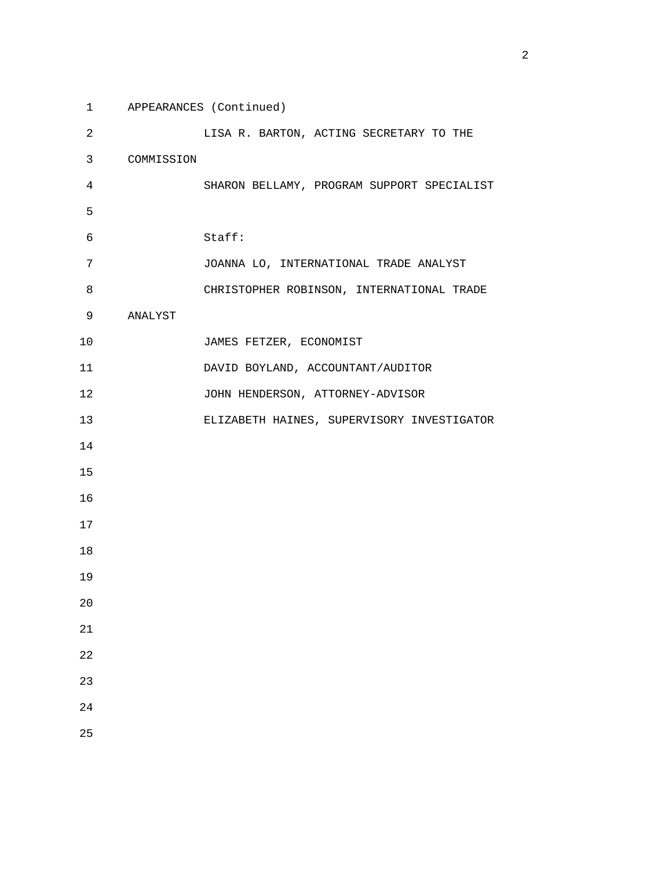1 APPEARANCES (Continued) 2 LISA R. BARTON, ACTING SECRETARY TO THE 3 COMMISSION 4 SHARON BELLAMY, PROGRAM SUPPORT SPECIALIST  $5<sub>5</sub>$  6 Staff: 7 JOANNA LO, INTERNATIONAL TRADE ANALYST 8 CHRISTOPHER ROBINSON, INTERNATIONAL TRADE 9 ANALYST 10 JAMES FETZER, ECONOMIST 11 DAVID BOYLAND, ACCOUNTANT/AUDITOR 12 JOHN HENDERSON, ATTORNEY-ADVISOR 13 ELIZABETH HAINES, SUPERVISORY INVESTIGATOR 14 15 16 17 18 19 20 21 22 23 24

25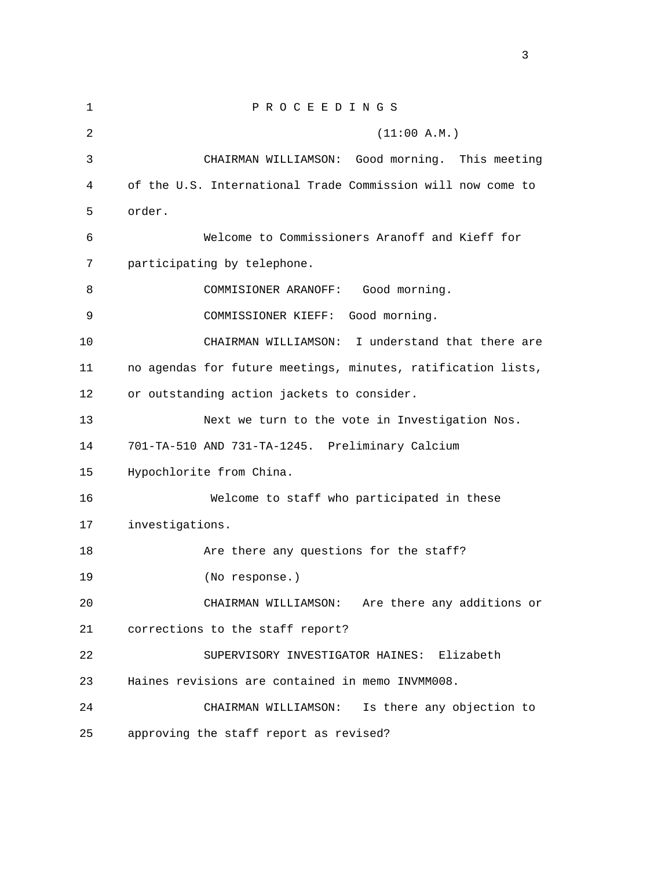1 P R O C E E D I N G S  $2(11:00 \text{ A.M.})$  3 CHAIRMAN WILLIAMSON: Good morning. This meeting 4 of the U.S. International Trade Commission will now come to 5 order. 6 Welcome to Commissioners Aranoff and Kieff for 7 participating by telephone. 8 COMMISIONER ARANOFF: Good morning. 9 COMMISSIONER KIEFF: Good morning. 10 CHAIRMAN WILLIAMSON: I understand that there are 11 no agendas for future meetings, minutes, ratification lists, 12 or outstanding action jackets to consider. 13 Next we turn to the vote in Investigation Nos. 14 701-TA-510 AND 731-TA-1245. Preliminary Calcium 15 Hypochlorite from China. 16 Welcome to staff who participated in these 17 investigations. 18 Are there any questions for the staff? 19 (No response.) 20 CHAIRMAN WILLIAMSON: Are there any additions or 21 corrections to the staff report? 22 SUPERVISORY INVESTIGATOR HAINES: Elizabeth 23 Haines revisions are contained in memo INVMM008. 24 CHAIRMAN WILLIAMSON: Is there any objection to 25 approving the staff report as revised?

<u>3</u>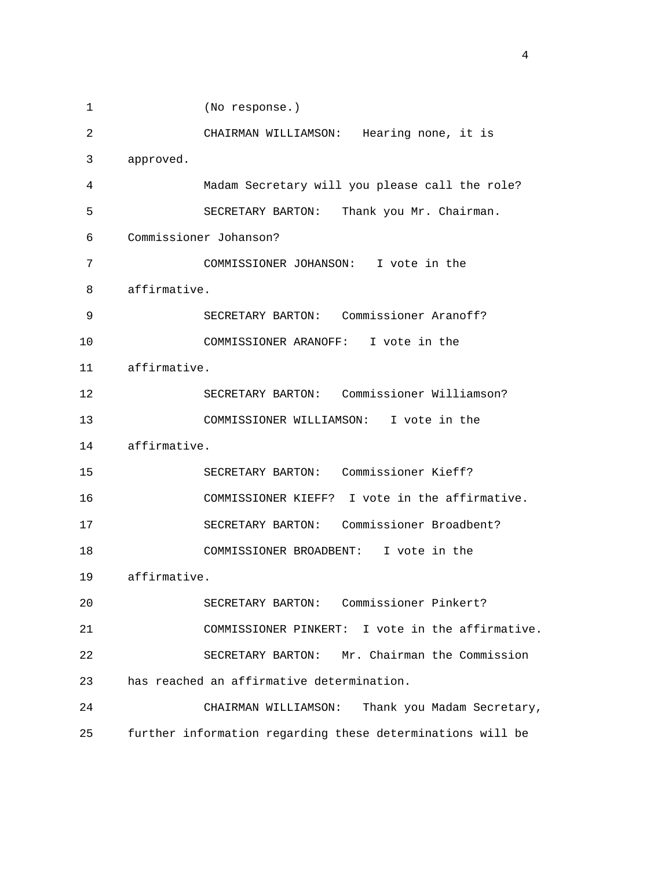1 (No response.) 2 CHAIRMAN WILLIAMSON: Hearing none, it is 3 approved. 4 Madam Secretary will you please call the role? 5 SECRETARY BARTON: Thank you Mr. Chairman. 6 Commissioner Johanson? 7 COMMISSIONER JOHANSON: I vote in the 8 affirmative. 9 SECRETARY BARTON: Commissioner Aranoff? 10 COMMISSIONER ARANOFF: I vote in the 11 affirmative. 12 SECRETARY BARTON: Commissioner Williamson? 13 COMMISSIONER WILLIAMSON: I vote in the 14 affirmative. 15 SECRETARY BARTON: Commissioner Kieff? 16 COMMISSIONER KIEFF? I vote in the affirmative. 17 SECRETARY BARTON: Commissioner Broadbent? 18 COMMISSIONER BROADBENT: I vote in the 19 affirmative. 20 SECRETARY BARTON: Commissioner Pinkert? 21 COMMISSIONER PINKERT: I vote in the affirmative. 22 SECRETARY BARTON: Mr. Chairman the Commission 23 has reached an affirmative determination. 24 CHAIRMAN WILLIAMSON: Thank you Madam Secretary, 25 further information regarding these determinations will be

4